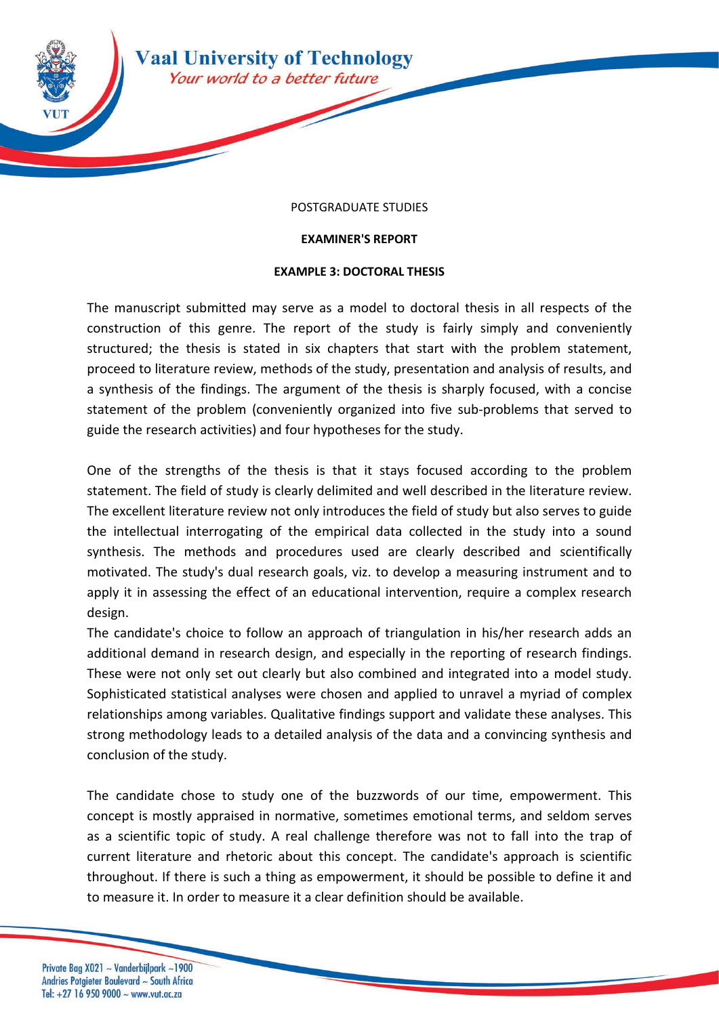

## POSTGRADUATE STUDIES

## **EXAMINER'S REPORT**

## **EXAMPLE 3: DOCTORAL THESIS**

The manuscript submitted may serve as a model to doctoral thesis in all respects of the construction of this genre. The report of the study is fairly simply and conveniently structured; the thesis is stated in six chapters that start with the problem statement, proceed to literature review, methods of the study, presentation and analysis of results, and a synthesis of the findings. The argument of the thesis is sharply focused, with a concise statement of the problem (conveniently organized into five sub-problems that served to guide the research activities) and four hypotheses for the study.

One of the strengths of the thesis is that it stays focused according to the problem statement. The field of study is clearly delimited and well described in the literature review. The excellent literature review not only introduces the field of study but also serves to guide the intellectual interrogating of the empirical data collected in the study into a sound synthesis. The methods and procedures used are clearly described and scientifically motivated. The study's dual research goals, viz. to develop a measuring instrument and to apply it in assessing the effect of an educational intervention, require a complex research design.

The candidate's choice to follow an approach of triangulation in his/her research adds an additional demand in research design, and especially in the reporting of research findings. These were not only set out clearly but also combined and integrated into a model study. Sophisticated statistical analyses were chosen and applied to unravel a myriad of complex relationships among variables. Qualitative findings support and validate these analyses. This strong methodology leads to a detailed analysis of the data and a convincing synthesis and conclusion of the study.

The candidate chose to study one of the buzzwords of our time, empowerment. This concept is mostly appraised in normative, sometimes emotional terms, and seldom serves as a scientific topic of study. A real challenge therefore was not to fall into the trap of current literature and rhetoric about this concept. The candidate's approach is scientific throughout. If there is such a thing as empowerment, it should be possible to define it and to measure it. In order to measure it a clear definition should be available.

Private Bag X021 ~ Vanderbijlpark ~1900 Andries Potgieter Boulevard ~ South Africa Tel: +27 16 950 9000  $\sim$  www.vut.ac.za